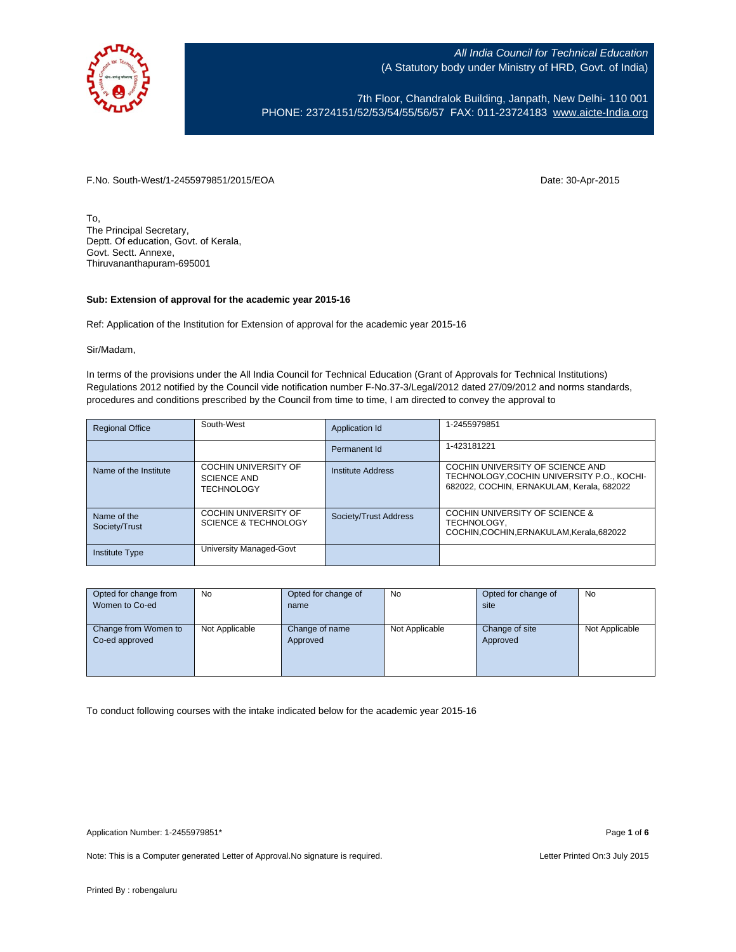

7th Floor, Chandralok Building, Janpath, New Delhi- 110 001 PHONE: 23724151/52/53/54/55/56/57 FAX: 011-23724183 www.aicte-India.org

F.No. South-West/1-2455979851/2015/EOA Date: 30-Apr-2015

To, The Principal Secretary, Deptt. Of education, Govt. of Kerala, Govt. Sectt. Annexe, Thiruvananthapuram-695001

#### **Sub: Extension of approval for the academic year 2015-16**

Ref: Application of the Institution for Extension of approval for the academic year 2015-16

Sir/Madam,

In terms of the provisions under the All India Council for Technical Education (Grant of Approvals for Technical Institutions) Regulations 2012 notified by the Council vide notification number F-No.37-3/Legal/2012 dated 27/09/2012 and norms standards, procedures and conditions prescribed by the Council from time to time, I am directed to convey the approval to

| <b>Regional Office</b>       | South-West                                                             | Application Id           | 1-2455979851                                                                                                               |
|------------------------------|------------------------------------------------------------------------|--------------------------|----------------------------------------------------------------------------------------------------------------------------|
|                              |                                                                        | Permanent Id             | 1-423181221                                                                                                                |
| Name of the Institute        | <b>COCHIN UNIVERSITY OF</b><br><b>SCIENCE AND</b><br><b>TECHNOLOGY</b> | <b>Institute Address</b> | COCHIN UNIVERSITY OF SCIENCE AND<br>TECHNOLOGY.COCHIN UNIVERSITY P.O., KOCHI-<br>682022, COCHIN, ERNAKULAM, Kerala, 682022 |
| Name of the<br>Society/Trust | <b>COCHIN UNIVERSITY OF</b><br><b>SCIENCE &amp; TECHNOLOGY</b>         | Society/Trust Address    | COCHIN UNIVERSITY OF SCIENCE &<br>TECHNOLOGY.<br>COCHIN, COCHIN, ERNAKULAM, Kerala, 682022                                 |
| <b>Institute Type</b>        | University Managed-Govt                                                |                          |                                                                                                                            |

| Opted for change from | No             | Opted for change of | No             | Opted for change of | <b>No</b>      |
|-----------------------|----------------|---------------------|----------------|---------------------|----------------|
| Women to Co-ed        |                | name                |                | site                |                |
|                       |                |                     |                |                     |                |
| Change from Women to  | Not Applicable | Change of name      | Not Applicable | Change of site      | Not Applicable |
| Co-ed approved        |                | Approved            |                | Approved            |                |
|                       |                |                     |                |                     |                |
|                       |                |                     |                |                     |                |
|                       |                |                     |                |                     |                |

To conduct following courses with the intake indicated below for the academic year 2015-16

Note: This is a Computer generated Letter of Approval. No signature is required. <br>
Letter Printed On:3 July 2015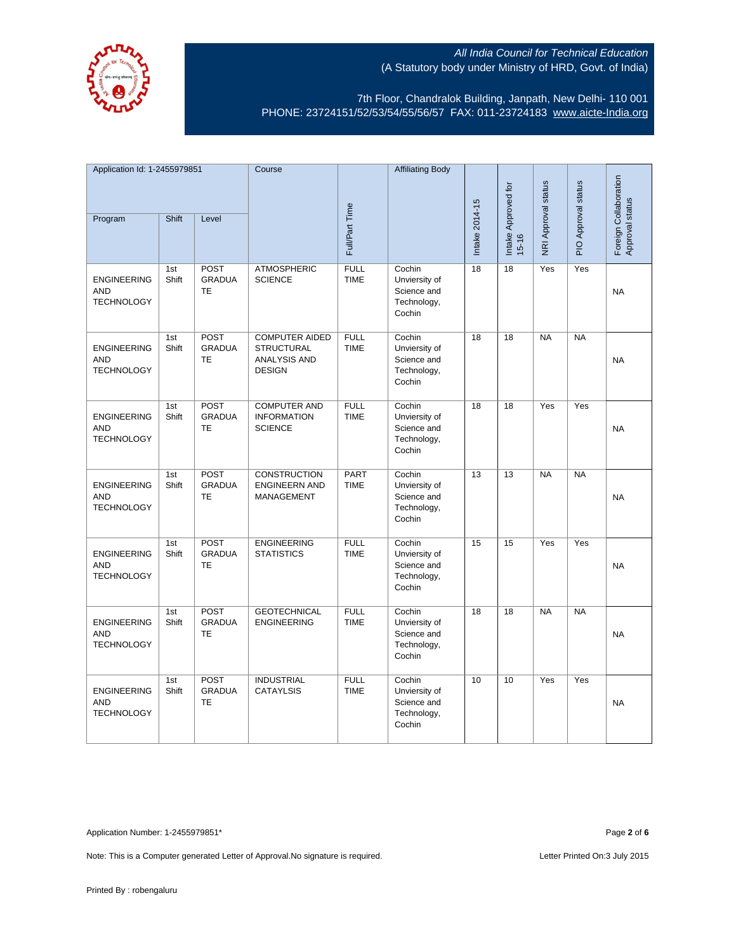

7th Floor, Chandralok Building, Janpath, New Delhi- 110 001 PHONE: 23724151/52/53/54/55/56/57 FAX: 011-23724183 www.aicte-India.org

| Application Id: 1-2455979851                          |              | Course                                    |                                                                                    | <b>Affiliating Body</b>    |                                                                 |                |                              |                     |                     |                                          |
|-------------------------------------------------------|--------------|-------------------------------------------|------------------------------------------------------------------------------------|----------------------------|-----------------------------------------------------------------|----------------|------------------------------|---------------------|---------------------|------------------------------------------|
| Program                                               | Shift        | Level                                     |                                                                                    | Full/Part Time             |                                                                 | Intake 2014-15 | Intake Approved for<br>15-16 | NRI Approval status | PIO Approval status | Foreign Collaboration<br>Approval status |
| <b>ENGINEERING</b><br><b>AND</b><br><b>TECHNOLOGY</b> | 1st<br>Shift | POST<br><b>GRADUA</b><br>TE               | <b>ATMOSPHERIC</b><br><b>SCIENCE</b>                                               | <b>FULL</b><br><b>TIME</b> | Cochin<br>Unviersity of<br>Science and<br>Technology,<br>Cochin | 18             | 18                           | Yes                 | Yes                 | <b>NA</b>                                |
| <b>ENGINEERING</b><br><b>AND</b><br><b>TECHNOLOGY</b> | 1st<br>Shift | POST<br><b>GRADUA</b><br><b>TE</b>        | <b>COMPUTER AIDED</b><br><b>STRUCTURAL</b><br><b>ANALYSIS AND</b><br><b>DESIGN</b> | <b>FULL</b><br><b>TIME</b> | Cochin<br>Unviersity of<br>Science and<br>Technology,<br>Cochin | 18             | $\overline{18}$              | <b>NA</b>           | <b>NA</b>           | <b>NA</b>                                |
| <b>ENGINEERING</b><br><b>AND</b><br><b>TECHNOLOGY</b> | 1st<br>Shift | POST<br><b>GRADUA</b><br><b>TE</b>        | <b>COMPUTER AND</b><br><b>INFORMATION</b><br><b>SCIENCE</b>                        | <b>FULL</b><br><b>TIME</b> | Cochin<br>Unviersity of<br>Science and<br>Technology,<br>Cochin | 18             | 18                           | Yes                 | Yes                 | <b>NA</b>                                |
| <b>ENGINEERING</b><br><b>AND</b><br><b>TECHNOLOGY</b> | 1st<br>Shift | POST<br><b>GRADUA</b><br>TE               | <b>CONSTRUCTION</b><br><b>ENGINEERN AND</b><br>MANAGEMENT                          | <b>PART</b><br><b>TIME</b> | Cochin<br>Unviersity of<br>Science and<br>Technology,<br>Cochin | 13             | $\overline{13}$              | NA                  | NA                  | <b>NA</b>                                |
| <b>ENGINEERING</b><br><b>AND</b><br><b>TECHNOLOGY</b> | 1st<br>Shift | POST<br><b>GRADUA</b><br><b>TE</b>        | <b>ENGINEERING</b><br><b>STATISTICS</b>                                            | <b>FULL</b><br><b>TIME</b> | Cochin<br>Unviersity of<br>Science and<br>Technology,<br>Cochin | 15             | 15                           | Yes                 | Yes                 | <b>NA</b>                                |
| <b>ENGINEERING</b><br><b>AND</b><br><b>TECHNOLOGY</b> | 1st<br>Shift | <b>POST</b><br><b>GRADUA</b><br><b>TE</b> | <b>GEOTECHNICAL</b><br><b>ENGINEERING</b>                                          | <b>FULL</b><br><b>TIME</b> | Cochin<br>Unviersity of<br>Science and<br>Technology,<br>Cochin | 18             | 18                           | <b>NA</b>           | <b>NA</b>           | <b>NA</b>                                |
| <b>ENGINEERING</b><br><b>AND</b><br><b>TECHNOLOGY</b> | 1st<br>Shift | POST<br><b>GRADUA</b><br><b>TE</b>        | <b>INDUSTRIAL</b><br><b>CATAYLSIS</b>                                              | <b>FULL</b><br><b>TIME</b> | Cochin<br>Unviersity of<br>Science and<br>Technology,<br>Cochin | 10             | 10                           | Yes                 | Yes                 | <b>NA</b>                                |

Application Number: 1-2455979851\* Page **2** of **6**

Note: This is a Computer generated Letter of Approval. No signature is required. <br>
Note: This is a Computer generated Letter of Approval. No signature is required.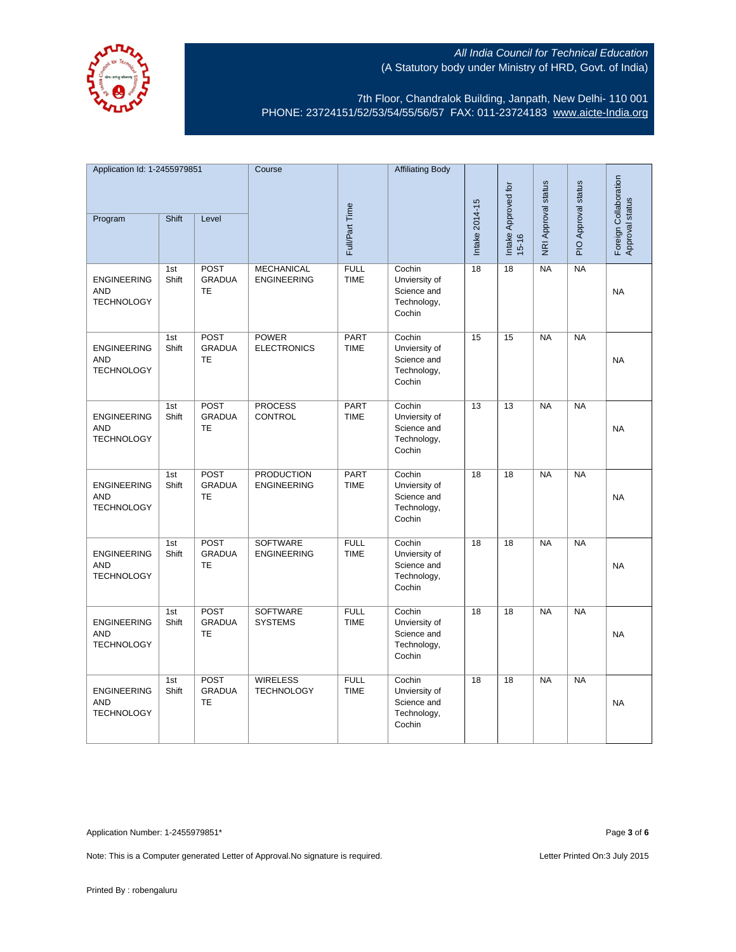

7th Floor, Chandralok Building, Janpath, New Delhi- 110 001 PHONE: 23724151/52/53/54/55/56/57 FAX: 011-23724183 www.aicte-India.org

| Application Id: 1-2455979851                          |              | Course                                    |                                         | <b>Affiliating Body</b>    |                                                                 |                 |                              |                     |                     |                                          |
|-------------------------------------------------------|--------------|-------------------------------------------|-----------------------------------------|----------------------------|-----------------------------------------------------------------|-----------------|------------------------------|---------------------|---------------------|------------------------------------------|
| Program                                               | <b>Shift</b> | Level                                     |                                         | Full/Part Time             |                                                                 | Intake 2014-15  | Intake Approved for<br>15-16 | NRI Approval status | PIO Approval status | Foreign Collaboration<br>Approval status |
|                                                       |              |                                           |                                         |                            |                                                                 |                 |                              |                     |                     |                                          |
| <b>ENGINEERING</b><br><b>AND</b><br><b>TECHNOLOGY</b> | 1st<br>Shift | POST<br><b>GRADUA</b><br>TE               | <b>MECHANICAL</b><br><b>ENGINEERING</b> | <b>FULL</b><br><b>TIME</b> | Cochin<br>Unviersity of<br>Science and<br>Technology,<br>Cochin | $\overline{18}$ | $\overline{18}$              | NA                  | NA                  | <b>NA</b>                                |
| <b>ENGINEERING</b><br><b>AND</b><br><b>TECHNOLOGY</b> | 1st<br>Shift | POST<br><b>GRADUA</b><br>TE               | <b>POWER</b><br><b>ELECTRONICS</b>      | <b>PART</b><br><b>TIME</b> | Cochin<br>Unviersity of<br>Science and<br>Technology,<br>Cochin | 15              | 15                           | <b>NA</b>           | NA                  | <b>NA</b>                                |
| <b>ENGINEERING</b><br><b>AND</b><br><b>TECHNOLOGY</b> | 1st<br>Shift | <b>POST</b><br><b>GRADUA</b><br><b>TE</b> | <b>PROCESS</b><br><b>CONTROL</b>        | <b>PART</b><br><b>TIME</b> | Cochin<br>Unviersity of<br>Science and<br>Technology,<br>Cochin | 13              | $\overline{13}$              | <b>NA</b>           | <b>NA</b>           | <b>NA</b>                                |
| <b>ENGINEERING</b><br><b>AND</b><br><b>TECHNOLOGY</b> | 1st<br>Shift | POST<br><b>GRADUA</b><br><b>TE</b>        | <b>PRODUCTION</b><br><b>ENGINEERING</b> | <b>PART</b><br><b>TIME</b> | Cochin<br>Unviersity of<br>Science and<br>Technology,<br>Cochin | 18              | 18                           | <b>NA</b>           | <b>NA</b>           | <b>NA</b>                                |
| <b>ENGINEERING</b><br><b>AND</b><br><b>TECHNOLOGY</b> | 1st<br>Shift | POST<br><b>GRADUA</b><br><b>TE</b>        | <b>SOFTWARE</b><br><b>ENGINEERING</b>   | <b>FULL</b><br><b>TIME</b> | Cochin<br>Unviersity of<br>Science and<br>Technology,<br>Cochin | 18              | 18                           | <b>NA</b>           | NA                  | <b>NA</b>                                |
| <b>ENGINEERING</b><br><b>AND</b><br><b>TECHNOLOGY</b> | 1st<br>Shift | <b>POST</b><br><b>GRADUA</b><br>TE        | <b>SOFTWARE</b><br><b>SYSTEMS</b>       | <b>FULL</b><br><b>TIME</b> | Cochin<br>Unviersity of<br>Science and<br>Technology,<br>Cochin | 18              | 18                           | <b>NA</b>           | <b>NA</b>           | <b>NA</b>                                |
| <b>ENGINEERING</b><br><b>AND</b><br><b>TECHNOLOGY</b> | 1st<br>Shift | POST<br><b>GRADUA</b><br><b>TE</b>        | <b>WIRELESS</b><br><b>TECHNOLOGY</b>    | <b>FULL</b><br><b>TIME</b> | Cochin<br>Unviersity of<br>Science and<br>Technology,<br>Cochin | $\overline{18}$ | $\overline{18}$              | <b>NA</b>           | NA                  | <b>NA</b>                                |

Application Number: 1-2455979851\* Page **3** of **6**

Note: This is a Computer generated Letter of Approval. No signature is required. <br>
Note: This is a Computer generated Letter of Approval. No signature is required.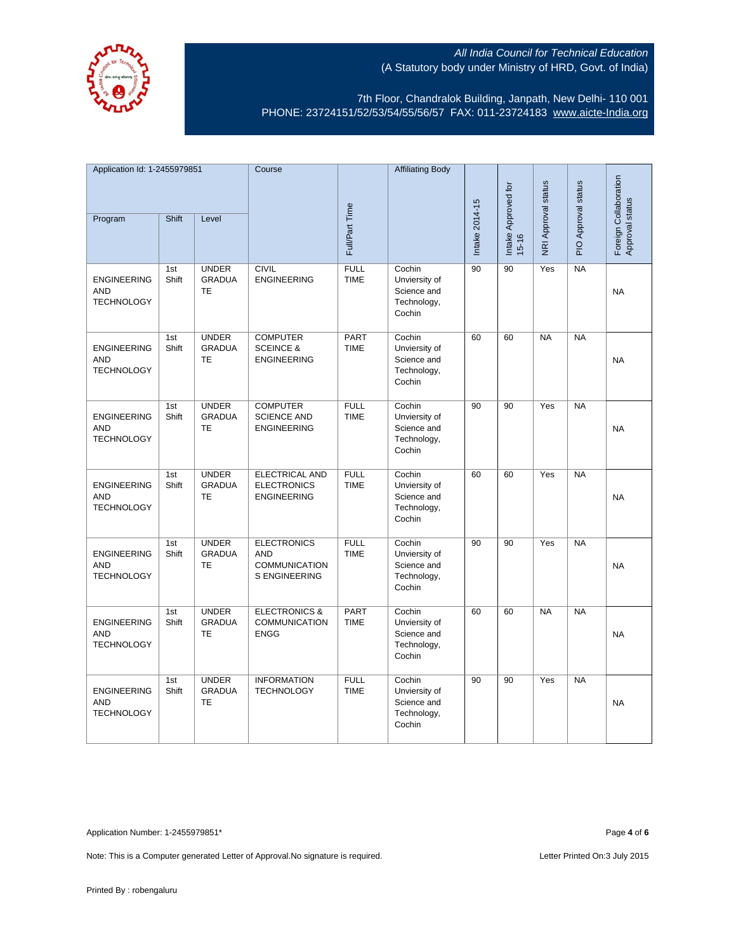

7th Floor, Chandralok Building, Janpath, New Delhi- 110 001 PHONE: 23724151/52/53/54/55/56/57 FAX: 011-23724183 www.aicte-India.org

| Application Id: 1-2455979851                          |              | Course                                     |                                                                           | <b>Affiliating Body</b>    |                                                                 |                |                                  |                     |                     |                                          |
|-------------------------------------------------------|--------------|--------------------------------------------|---------------------------------------------------------------------------|----------------------------|-----------------------------------------------------------------|----------------|----------------------------------|---------------------|---------------------|------------------------------------------|
| Program                                               | <b>Shift</b> | Level                                      |                                                                           | Full/Part Time             |                                                                 | Intake 2014-15 | Intake Approved for<br>$15 - 16$ | NRI Approval status | PIO Approval status | Foreign Collaboration<br>Approval status |
|                                                       |              |                                            |                                                                           |                            |                                                                 |                |                                  |                     |                     |                                          |
| <b>ENGINEERING</b><br><b>AND</b><br><b>TECHNOLOGY</b> | 1st<br>Shift | <b>UNDER</b><br><b>GRADUA</b><br><b>TE</b> | <b>CIVIL</b><br><b>ENGINEERING</b>                                        | <b>FULL</b><br><b>TIME</b> | Cochin<br>Unviersity of<br>Science and<br>Technology,<br>Cochin | 90             | 90                               | Yes                 | <b>NA</b>           | <b>NA</b>                                |
| <b>ENGINEERING</b><br><b>AND</b><br><b>TECHNOLOGY</b> | 1st<br>Shift | <b>UNDER</b><br><b>GRADUA</b><br><b>TE</b> | <b>COMPUTER</b><br><b>SCEINCE &amp;</b><br><b>ENGINEERING</b>             | <b>PART</b><br><b>TIME</b> | Cochin<br>Unviersity of<br>Science and<br>Technology,<br>Cochin | 60             | 60                               | <b>NA</b>           | <b>NA</b>           | <b>NA</b>                                |
| <b>ENGINEERING</b><br><b>AND</b><br><b>TECHNOLOGY</b> | 1st<br>Shift | <b>UNDER</b><br><b>GRADUA</b><br><b>TE</b> | <b>COMPUTER</b><br><b>SCIENCE AND</b><br><b>ENGINEERING</b>               | <b>FULL</b><br><b>TIME</b> | Cochin<br>Unviersity of<br>Science and<br>Technology,<br>Cochin | 90             | 90                               | Yes                 | <b>NA</b>           | <b>NA</b>                                |
| <b>ENGINEERING</b><br><b>AND</b><br><b>TECHNOLOGY</b> | 1st<br>Shift | <b>UNDER</b><br><b>GRADUA</b><br><b>TE</b> | <b>ELECTRICAL AND</b><br><b>ELECTRONICS</b><br><b>ENGINEERING</b>         | <b>FULL</b><br><b>TIME</b> | Cochin<br>Unviersity of<br>Science and<br>Technology,<br>Cochin | 60             | 60                               | Yes                 | NA                  | <b>NA</b>                                |
| <b>ENGINEERING</b><br><b>AND</b><br><b>TECHNOLOGY</b> | 1st<br>Shift | <b>UNDER</b><br><b>GRADUA</b><br><b>TE</b> | <b>ELECTRONICS</b><br><b>AND</b><br><b>COMMUNICATION</b><br>S ENGINEERING | <b>FULL</b><br><b>TIME</b> | Cochin<br>Unviersity of<br>Science and<br>Technology,<br>Cochin | 90             | 90                               | Yes                 | <b>NA</b>           | <b>NA</b>                                |
| <b>ENGINEERING</b><br><b>AND</b><br><b>TECHNOLOGY</b> | 1st<br>Shift | <b>UNDER</b><br><b>GRADUA</b><br><b>TE</b> | <b>ELECTRONICS &amp;</b><br><b>COMMUNICATION</b><br><b>ENGG</b>           | PART<br><b>TIME</b>        | Cochin<br>Unviersity of<br>Science and<br>Technology,<br>Cochin | 60             | 60                               | <b>NA</b>           | <b>NA</b>           | <b>NA</b>                                |
| <b>ENGINEERING</b><br><b>AND</b><br><b>TECHNOLOGY</b> | 1st<br>Shift | <b>UNDER</b><br><b>GRADUA</b><br><b>TE</b> | <b>INFORMATION</b><br><b>TECHNOLOGY</b>                                   | <b>FULL</b><br><b>TIME</b> | Cochin<br>Unviersity of<br>Science and<br>Technology,<br>Cochin | 90             | 90                               | Yes                 | <b>NA</b>           | <b>NA</b>                                |

Application Number: 1-2455979851\* Page **4** of **6**

Note: This is a Computer generated Letter of Approval. No signature is required. <br>
Note: This is a Computer generated Letter of Approval. No signature is required.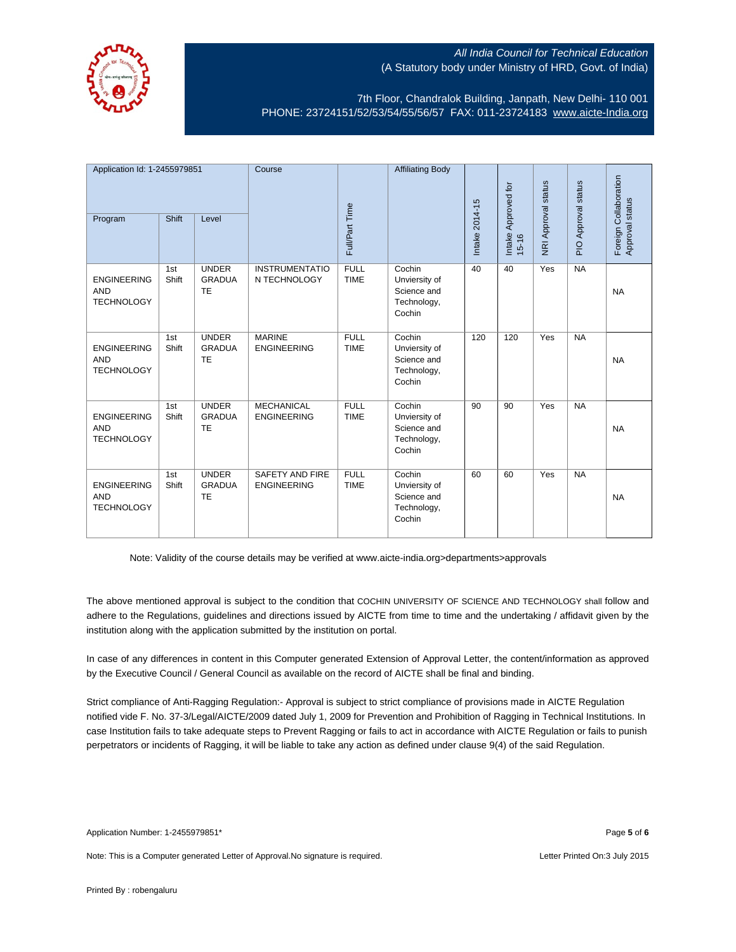

7th Floor, Chandralok Building, Janpath, New Delhi- 110 001 PHONE: 23724151/52/53/54/55/56/57 FAX: 011-23724183 www.aicte-India.org

| Application Id: 1-2455979851                          |              | Course                                     |                                         | <b>Affiliating Body</b>    |                                                                 |                |                                  |                     | Foreign Collaboration |                 |
|-------------------------------------------------------|--------------|--------------------------------------------|-----------------------------------------|----------------------------|-----------------------------------------------------------------|----------------|----------------------------------|---------------------|-----------------------|-----------------|
| Program                                               | Shift        | Level                                      |                                         | Full/Part Time             |                                                                 | Intake 2014-15 | Intake Approved for<br>$15 - 16$ | NRI Approval status | PIO Approval status   | Approval status |
| <b>ENGINEERING</b><br><b>AND</b><br><b>TECHNOLOGY</b> | 1st<br>Shift | <b>UNDER</b><br><b>GRADUA</b><br><b>TE</b> | <b>INSTRUMENTATIO</b><br>N TECHNOLOGY   | <b>FULL</b><br><b>TIME</b> | Cochin<br>Unviersity of<br>Science and<br>Technology,<br>Cochin | 40             | 40                               | Yes                 | NA                    | <b>NA</b>       |
| <b>ENGINEERING</b><br><b>AND</b><br><b>TECHNOLOGY</b> | 1st<br>Shift | <b>UNDER</b><br><b>GRADUA</b><br><b>TE</b> | <b>MARINE</b><br><b>ENGINEERING</b>     | <b>FULL</b><br><b>TIME</b> | Cochin<br>Unviersity of<br>Science and<br>Technology,<br>Cochin | 120            | 120                              | Yes                 | <b>NA</b>             | <b>NA</b>       |
| <b>ENGINEERING</b><br><b>AND</b><br><b>TECHNOLOGY</b> | 1st<br>Shift | <b>UNDER</b><br><b>GRADUA</b><br><b>TE</b> | <b>MECHANICAL</b><br><b>ENGINEERING</b> | <b>FULL</b><br><b>TIME</b> | Cochin<br>Unviersity of<br>Science and<br>Technology,<br>Cochin | 90             | 90                               | Yes                 | <b>NA</b>             | <b>NA</b>       |
| <b>ENGINEERING</b><br><b>AND</b><br><b>TECHNOLOGY</b> | 1st<br>Shift | <b>UNDER</b><br><b>GRADUA</b><br>TE        | SAFETY AND FIRE<br><b>ENGINEERING</b>   | <b>FULL</b><br><b>TIME</b> | Cochin<br>Unviersity of<br>Science and<br>Technology,<br>Cochin | 60             | 60                               | Yes                 | <b>NA</b>             | <b>NA</b>       |

Note: Validity of the course details may be verified at www.aicte-india.org>departments>approvals

The above mentioned approval is subject to the condition that COCHIN UNIVERSITY OF SCIENCE AND TECHNOLOGY shall follow and adhere to the Regulations, guidelines and directions issued by AICTE from time to time and the undertaking / affidavit given by the institution along with the application submitted by the institution on portal.

In case of any differences in content in this Computer generated Extension of Approval Letter, the content/information as approved by the Executive Council / General Council as available on the record of AICTE shall be final and binding.

Strict compliance of Anti-Ragging Regulation:- Approval is subject to strict compliance of provisions made in AICTE Regulation notified vide F. No. 37-3/Legal/AICTE/2009 dated July 1, 2009 for Prevention and Prohibition of Ragging in Technical Institutions. In case Institution fails to take adequate steps to Prevent Ragging or fails to act in accordance with AICTE Regulation or fails to punish perpetrators or incidents of Ragging, it will be liable to take any action as defined under clause 9(4) of the said Regulation.

Application Number: 1-2455979851\* Page **5** of **6**

Note: This is a Computer generated Letter of Approval.No signature is required. No metal and the Music Control of Letter Printed On:3 July 2015